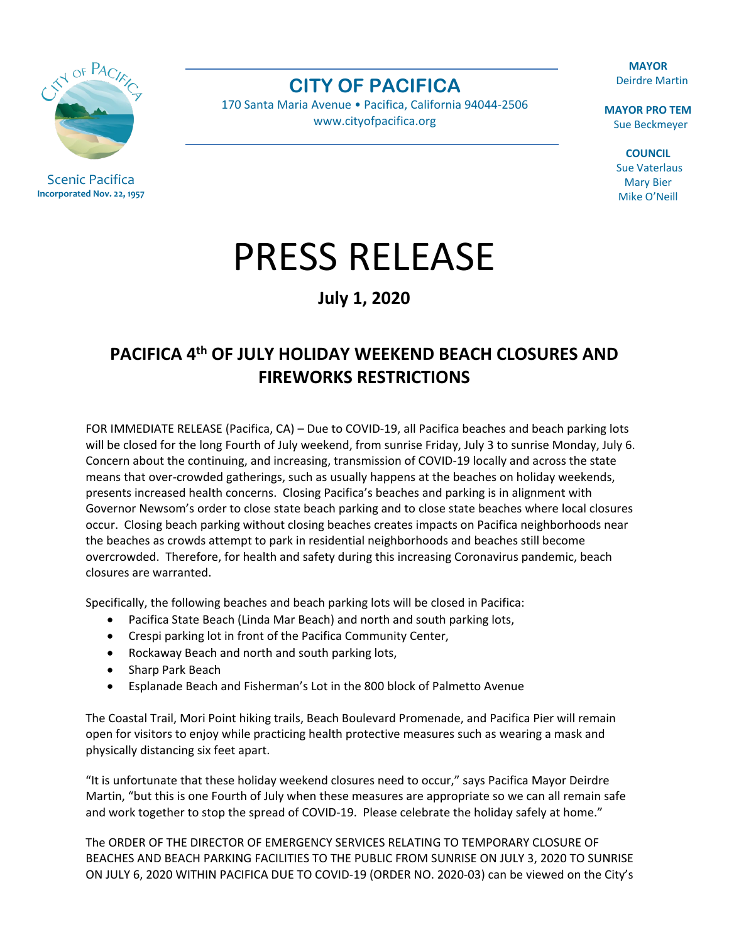Scenic Pacifica

**Incorporated Nov. 22, 1957**

**CITY OF PACIFICA**

170 Santa Maria Avenue • Pacifica, California 94044-2506 [www.cityofpacifica.org](http://www.cityofpacifica.org/)

**MAYOR** Deirdre Martin

**MAYOR PRO TEM** Sue Beckmeyer

> **COUNCIL** Sue Vaterlaus Mary Bier Mike O'Neill

## PRESS RELEASE

**July 1, 2020**

## **PACIFICA 4th OF JULY HOLIDAY WEEKEND BEACH CLOSURES AND FIREWORKS RESTRICTIONS**

FOR IMMEDIATE RELEASE (Pacifica, CA) – Due to COVID-19, all Pacifica beaches and beach parking lots will be closed for the long Fourth of July weekend, from sunrise Friday, July 3 to sunrise Monday, July 6. Concern about the continuing, and increasing, transmission of COVID-19 locally and across the state means that over-crowded gatherings, such as usually happens at the beaches on holiday weekends, presents increased health concerns. Closing Pacifica's beaches and parking is in alignment with Governor Newsom's order to close state beach parking and to close state beaches where local closures occur. Closing beach parking without closing beaches creates impacts on Pacifica neighborhoods near the beaches as crowds attempt to park in residential neighborhoods and beaches still become overcrowded. Therefore, for health and safety during this increasing Coronavirus pandemic, beach closures are warranted.

Specifically, the following beaches and beach parking lots will be closed in Pacifica:

- Pacifica State Beach (Linda Mar Beach) and north and south parking lots,
- Crespi parking lot in front of the Pacifica Community Center,
- Rockaway Beach and north and south parking lots,
- Sharp Park Beach
- Esplanade Beach and Fisherman's Lot in the 800 block of Palmetto Avenue

The Coastal Trail, Mori Point hiking trails, Beach Boulevard Promenade, and Pacifica Pier will remain open for visitors to enjoy while practicing health protective measures such as wearing a mask and physically distancing six feet apart.

"It is unfortunate that these holiday weekend closures need to occur," says Pacifica Mayor Deirdre Martin, "but this is one Fourth of July when these measures are appropriate so we can all remain safe and work together to stop the spread of COVID-19. Please celebrate the holiday safely at home."

The ORDER OF THE DIRECTOR OF EMERGENCY SERVICES RELATING TO TEMPORARY CLOSURE OF BEACHES AND BEACH PARKING FACILITIES TO THE PUBLIC FROM SUNRISE ON JULY 3, 2020 TO SUNRISE ON JULY 6, 2020 WITHIN PACIFICA DUE TO COVID-19 (ORDER NO. 2020-03) can be viewed on the City's